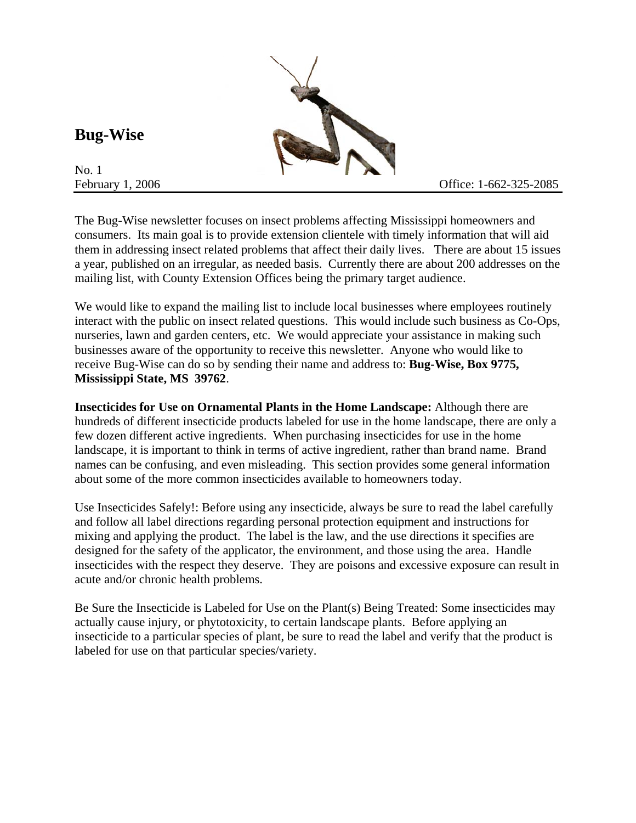**Bug-Wise** 

No. 1

The Bug-Wise newsletter focuses on insect problems affecting Mississippi homeowners and consumers. Its main goal is to provide extension clientele with timely information that will aid them in addressing insect related problems that affect their daily lives. There are about 15 issues a year, published on an irregular, as needed basis. Currently there are about 200 addresses on the mailing list, with County Extension Offices being the primary target audience.

We would like to expand the mailing list to include local businesses where employees routinely interact with the public on insect related questions. This would include such business as Co-Ops, nurseries, lawn and garden centers, etc. We would appreciate your assistance in making such businesses aware of the opportunity to receive this newsletter. Anyone who would like to receive Bug-Wise can do so by sending their name and address to: **Bug-Wise, Box 9775, Mississippi State, MS 39762**.

**Insecticides for Use on Ornamental Plants in the Home Landscape:** Although there are hundreds of different insecticide products labeled for use in the home landscape, there are only a few dozen different active ingredients. When purchasing insecticides for use in the home landscape, it is important to think in terms of active ingredient, rather than brand name. Brand names can be confusing, and even misleading. This section provides some general information about some of the more common insecticides available to homeowners today.

Use Insecticides Safely!: Before using any insecticide, always be sure to read the label carefully and follow all label directions regarding personal protection equipment and instructions for mixing and applying the product. The label is the law, and the use directions it specifies are designed for the safety of the applicator, the environment, and those using the area. Handle insecticides with the respect they deserve. They are poisons and excessive exposure can result in acute and/or chronic health problems.

Be Sure the Insecticide is Labeled for Use on the Plant(s) Being Treated: Some insecticides may actually cause injury, or phytotoxicity, to certain landscape plants. Before applying an insecticide to a particular species of plant, be sure to read the label and verify that the product is labeled for use on that particular species/variety.

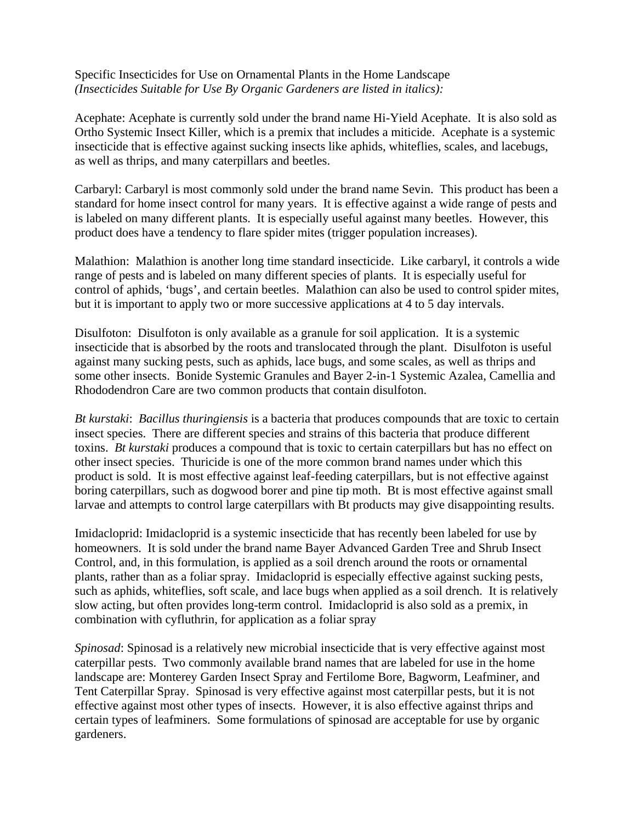Specific Insecticides for Use on Ornamental Plants in the Home Landscape *(Insecticides Suitable for Use By Organic Gardeners are listed in italics):* 

Acephate: Acephate is currently sold under the brand name Hi-Yield Acephate. It is also sold as Ortho Systemic Insect Killer, which is a premix that includes a miticide. Acephate is a systemic insecticide that is effective against sucking insects like aphids, whiteflies, scales, and lacebugs, as well as thrips, and many caterpillars and beetles.

Carbaryl: Carbaryl is most commonly sold under the brand name Sevin. This product has been a standard for home insect control for many years. It is effective against a wide range of pests and is labeled on many different plants. It is especially useful against many beetles. However, this product does have a tendency to flare spider mites (trigger population increases).

Malathion: Malathion is another long time standard insecticide. Like carbaryl, it controls a wide range of pests and is labeled on many different species of plants. It is especially useful for control of aphids, 'bugs', and certain beetles. Malathion can also be used to control spider mites, but it is important to apply two or more successive applications at 4 to 5 day intervals.

Disulfoton: Disulfoton is only available as a granule for soil application. It is a systemic insecticide that is absorbed by the roots and translocated through the plant. Disulfoton is useful against many sucking pests, such as aphids, lace bugs, and some scales, as well as thrips and some other insects. Bonide Systemic Granules and Bayer 2-in-1 Systemic Azalea, Camellia and Rhododendron Care are two common products that contain disulfoton.

*Bt kurstaki*: *Bacillus thuringiensis* is a bacteria that produces compounds that are toxic to certain insect species. There are different species and strains of this bacteria that produce different toxins. *Bt kurstaki* produces a compound that is toxic to certain caterpillars but has no effect on other insect species. Thuricide is one of the more common brand names under which this product is sold. It is most effective against leaf-feeding caterpillars, but is not effective against boring caterpillars, such as dogwood borer and pine tip moth. Bt is most effective against small larvae and attempts to control large caterpillars with Bt products may give disappointing results.

Imidacloprid: Imidacloprid is a systemic insecticide that has recently been labeled for use by homeowners. It is sold under the brand name Bayer Advanced Garden Tree and Shrub Insect Control, and, in this formulation, is applied as a soil drench around the roots or ornamental plants, rather than as a foliar spray. Imidacloprid is especially effective against sucking pests, such as aphids, whiteflies, soft scale, and lace bugs when applied as a soil drench. It is relatively slow acting, but often provides long-term control. Imidacloprid is also sold as a premix, in combination with cyfluthrin, for application as a foliar spray

*Spinosad*: Spinosad is a relatively new microbial insecticide that is very effective against most caterpillar pests. Two commonly available brand names that are labeled for use in the home landscape are: Monterey Garden Insect Spray and Fertilome Bore, Bagworm, Leafminer, and Tent Caterpillar Spray. Spinosad is very effective against most caterpillar pests, but it is not effective against most other types of insects. However, it is also effective against thrips and certain types of leafminers. Some formulations of spinosad are acceptable for use by organic gardeners.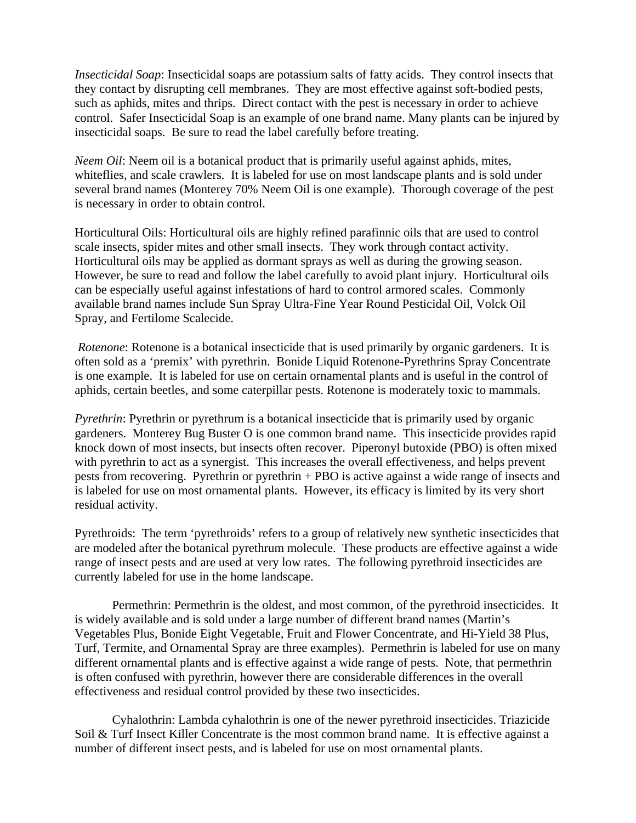*Insecticidal Soap*: Insecticidal soaps are potassium salts of fatty acids. They control insects that they contact by disrupting cell membranes. They are most effective against soft-bodied pests, such as aphids, mites and thrips. Direct contact with the pest is necessary in order to achieve control. Safer Insecticidal Soap is an example of one brand name. Many plants can be injured by insecticidal soaps. Be sure to read the label carefully before treating.

*Neem Oil:* Neem oil is a botanical product that is primarily useful against aphids, mites, whiteflies, and scale crawlers. It is labeled for use on most landscape plants and is sold under several brand names (Monterey 70% Neem Oil is one example). Thorough coverage of the pest is necessary in order to obtain control.

Horticultural Oils: Horticultural oils are highly refined parafinnic oils that are used to control scale insects, spider mites and other small insects. They work through contact activity. Horticultural oils may be applied as dormant sprays as well as during the growing season. However, be sure to read and follow the label carefully to avoid plant injury. Horticultural oils can be especially useful against infestations of hard to control armored scales. Commonly available brand names include Sun Spray Ultra-Fine Year Round Pesticidal Oil, Volck Oil Spray, and Fertilome Scalecide.

*Rotenone*: Rotenone is a botanical insecticide that is used primarily by organic gardeners. It is often sold as a 'premix' with pyrethrin. Bonide Liquid Rotenone-Pyrethrins Spray Concentrate is one example. It is labeled for use on certain ornamental plants and is useful in the control of aphids, certain beetles, and some caterpillar pests. Rotenone is moderately toxic to mammals.

*Pyrethrin*: Pyrethrin or pyrethrum is a botanical insecticide that is primarily used by organic gardeners. Monterey Bug Buster O is one common brand name. This insecticide provides rapid knock down of most insects, but insects often recover. Piperonyl butoxide (PBO) is often mixed with pyrethrin to act as a synergist. This increases the overall effectiveness, and helps prevent pests from recovering. Pyrethrin or pyrethrin + PBO is active against a wide range of insects and is labeled for use on most ornamental plants. However, its efficacy is limited by its very short residual activity.

Pyrethroids: The term 'pyrethroids' refers to a group of relatively new synthetic insecticides that are modeled after the botanical pyrethrum molecule. These products are effective against a wide range of insect pests and are used at very low rates. The following pyrethroid insecticides are currently labeled for use in the home landscape.

Permethrin: Permethrin is the oldest, and most common, of the pyrethroid insecticides. It is widely available and is sold under a large number of different brand names (Martin's Vegetables Plus, Bonide Eight Vegetable, Fruit and Flower Concentrate, and Hi-Yield 38 Plus, Turf, Termite, and Ornamental Spray are three examples). Permethrin is labeled for use on many different ornamental plants and is effective against a wide range of pests. Note, that permethrin is often confused with pyrethrin, however there are considerable differences in the overall effectiveness and residual control provided by these two insecticides.

Cyhalothrin: Lambda cyhalothrin is one of the newer pyrethroid insecticides. Triazicide Soil & Turf Insect Killer Concentrate is the most common brand name. It is effective against a number of different insect pests, and is labeled for use on most ornamental plants.